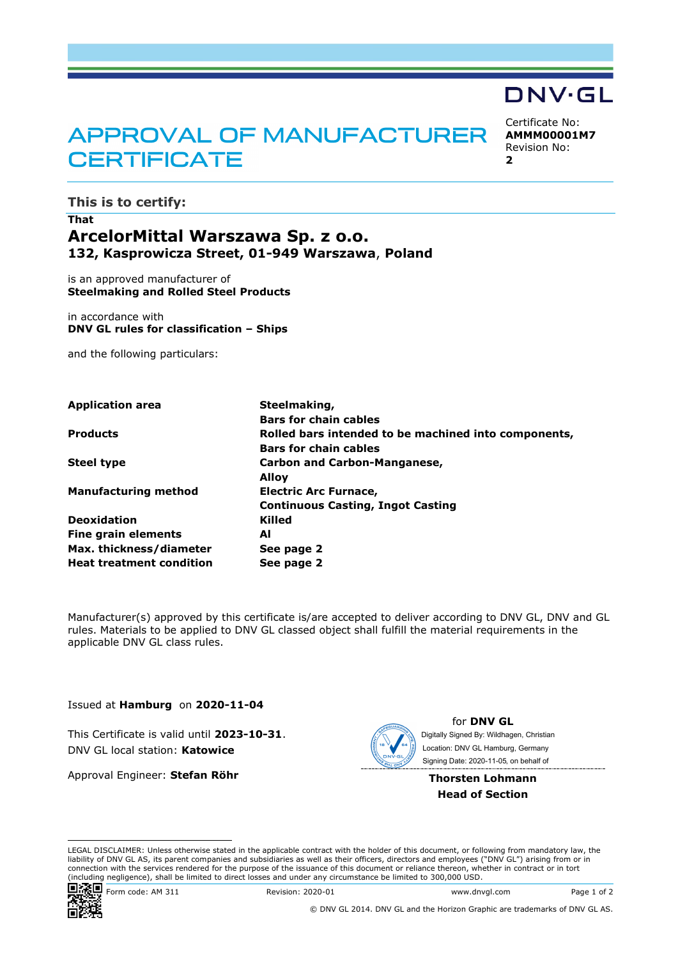# **APPROVAL OF MANUFACTURER CERTIFICATE**

Certificate No:

DNV·GL

**AMMM00001M7** Revision No: **2**

**This is to certify:**

## **That ArcelorMittal Warszawa Sp. z o.o. 132, Kasprowicza Street, 01-949 Warszawa**, **Poland**

is an approved manufacturer of **Steelmaking and Rolled Steel Products**

in accordance with **DNV GL rules for classification – Ships**

and the following particulars:

| <b>Application area</b>         | Steelmaking,                                         |  |  |
|---------------------------------|------------------------------------------------------|--|--|
|                                 | <b>Bars for chain cables</b>                         |  |  |
| <b>Products</b>                 | Rolled bars intended to be machined into components, |  |  |
|                                 | <b>Bars for chain cables</b>                         |  |  |
| <b>Steel type</b>               | <b>Carbon and Carbon-Manganese,</b>                  |  |  |
|                                 | Alloy                                                |  |  |
| <b>Manufacturing method</b>     | <b>Electric Arc Furnace,</b>                         |  |  |
|                                 | <b>Continuous Casting, Ingot Casting</b>             |  |  |
| <b>Deoxidation</b>              | Killed                                               |  |  |
| Fine grain elements             | Al                                                   |  |  |
| Max. thickness/diameter         | See page 2                                           |  |  |
| <b>Heat treatment condition</b> | See page 2                                           |  |  |

Manufacturer(s) approved by this certificate is/are accepted to deliver according to DNV GL, DNV and GL rules. Materials to be applied to DNV GL classed object shall fulfill the material requirements in the applicable DNV GL class rules.

Issued at **Hamburg** on **2020-11-04**

This Certificate is valid until **2023-10-31**. DNV GL local station: **Katowice**

Approval Engineer: **Stefan Röhr**



for **DNV GL** Signing Date: 2020-11-05 , on behalf ofDigitally Signed By: Wildhagen, Christian Location: DNV GL Hamburg, Germany

**Thorsten Lohmann Head of Section**

LEGAL DISCLAIMER: Unless otherwise stated in the applicable contract with the holder of this document, or following from mandatory law, the liability of DNV GL AS, its parent companies and subsidiaries as well as their officers, directors and employees ("DNV GL") arising from or in connection with the services rendered for the purpose of the issuance of this document or reliance thereon, whether in contract or in tort (including negligence), shall be limited to direct losses and under any circumstance be limited to 300,000 USD.



ENTERCHI REVISION: 2020-01 Www.dnvgl.com Page 1 of 2

© DNV GL 2014. DNV GL and the Horizon Graphic are trademarks of DNV GL AS.